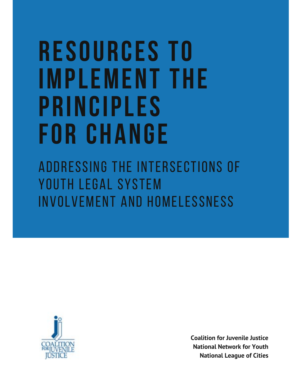# **R E S O U R C E S T O I M P L E M E N T T H E P R I N C I P L E S F O R C H A N G E**

ADDRESSING THE INTERSECTIONS OF YOUTH LEGAL SYSTEM INVOLVEMENT AND HOMELESSNESS



**Coalition for Juvenile Justice National Network for Youth National League of Cities**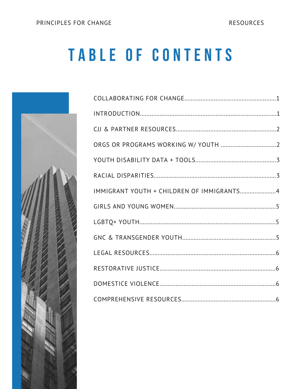RESOURCES

# TABLE OF CONTENTS



| IMMIGRANT YOUTH + CHILDREN OF IMMIGRANTS4 |  |
|-------------------------------------------|--|
|                                           |  |
|                                           |  |
|                                           |  |
|                                           |  |
|                                           |  |
|                                           |  |
|                                           |  |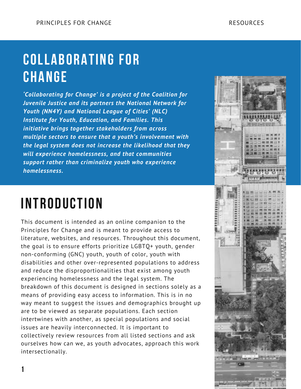#### **C O L L A B O R A T I N G F O R C H A N G E**

*'Collaborating for Change' is a project of the Coalition for Juvenile Justice and its partners the National Network for Youth (NN4Y) and National League of Cities' (NLC) Institute for Youth, Education, and Families. This initiative brings together stakeholders from across multiple sectors to ensure that a youth's involvement with the legal system does not increase the likelihood that they will experience homelessness, and that communities support rather than criminalize youth who experience homelessness.*

#### **INTRODUCTION**

This document is intended as an online companion to the Principles for Change and is meant to provide access to literature, websites, and resources. Throughout this document, the goal is to ensure efforts prioritize LGBTQ+ youth, gender non-conforming (GNC) youth, youth of color, youth with disabilities and other over-represented populations to address and reduce the disproportionalities that exist among youth experiencing homelessness and the legal system. The breakdown of this document is designed in sections solely as a means of providing easy access to information. This is in no way meant to suggest the issues and demographics brought up are to be viewed as separate populations. Each section intertwines with another, as special populations and social issues are heavily interconnected. It is important to collectively review resources from all listed sections and ask ourselves how can we, as youth advocates, approach this work intersectionally.

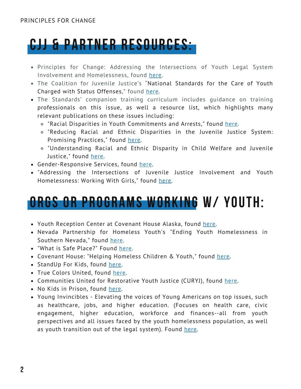### **CJJ & PARTNER RESOURCES:**

- Principles for Change: Addressing the Intersections of Youth Legal System Involvement and Homelessness, found [here](https://www.juvjustice.org/sites/default/files/resource-files/Principles%2520for%2520Change%2520%25286%2529-compressed.pdf).
- [The Coalition for Juvenile Justice's "National Standards for the Care of Youth](http://www.juvjustice.org/sites/default/files/ckfinder/files/National%20Standards%20for%20the%20Care%20of%20Youth%20Charged%20with%20Status%20Offenses%20FINAL(1).pdf) Charged with Status Offenses," found [here.](http://www.juvjustice.org/sites/default/files/ckfinder/files/National%20Standards%20for%20the%20Care%20of%20Youth%20Charged%20with%20Status%20Offenses%20FINAL(1).pdf)
- The Standards' companion training curriculum includes guidance on training professionals on this issue, as well a resource list, which highlights many relevant publications on these issues including:
	- "[Racial Disparities in Youth Commitments and Arrests," found here.](https://www.sentencingproject.org/publications/racial-disparities-in-youth-commitments-and-arrests/)
	- ["Reducing Racial and Ethnic Disparities in the Juvenile Justice System:](https://www.njjn.org/our-work/reducing-racial-and-ethnic-disparities-in-juvenile-justice-systems-promising-practices) Promising Practices," found [here](https://www.njjn.org/our-work/reducing-racial-and-ethnic-disparities-in-juvenile-justice-systems-promising-practices).
	- ["Understanding Racial and Ethnic Disparity in Child Welfare and Juvenile](https://jeffreybutts.files.wordpress.com/2008/03/cjjr_ch_final1.pdf) Justice," found [here](https://jeffreybutts.files.wordpress.com/2008/03/cjjr_ch_final1.pdf).
- [Gender-Responsive Services](https://www.juvjustice.org/our-work/safety-opportunity-and-success-project/national-standards/section-i-principles-responding-4#_ftn2), found [here](https://www.juvjustice.org/our-work/safety-opportunity-and-success-project/national-standards/section-i-principles-responding-4#_ftn2).
- "Addressing the Intersections of Juvenile Justice Involvement and Youth Homelessness: Working With Girls," found [here.](http://www.juvjustice.org/sites/default/files/ckfinder/files/Girls%20Final.pdf)

#### **ORGS OR PROGRAMS WORKING W/ YOUTH:**

- [Youth Reception Center](https://docs.google.com/document/d/1SuebpDbfhyYPrDkVcHiNB7T_jziKMjhc/edit?usp=sharing&ouid=104409252020918668872&rtpof=true&sd=true) at Covenant House Alaska, found [here.](https://docs.google.com/document/d/1SuebpDbfhyYPrDkVcHiNB7T_jziKMjhc/edit?usp=sharing&ouid=104409252020918668872&rtpof=true&sd=true)
- [Nevada Partnership for Homeless Youth's "Ending Youth Homelessness in](https://nphy.org/) Southern Nevada," found [here.](https://nphy.org/)
- "[What is Safe Place?" Found here.](https://www.nationalsafeplace.org/what-is-safe-place)
- [Covenant House: "Helping Homeless Children & Youth," found here.](https://www.covenanthouse.org/)
- [StandUp For Kids, found here.](https://www.standupforkids.org/)
- [True Colors United, found here.](https://truecolorsunited.org/)
- [Communities United for Restorative Youth Justice](https://curyj.org/) ([CURYJ](https://curyj.org/)), found [here.](https://curyj.org/)
- [No Kids in Prison, found here.](https://www.nokidsinprison.org/about-us/youth-leaders)
- [Young Invincibles Elevating the voices of Young Americans on top issues, such](https://younginvincibles.org/) as healthcare, jobs, and higher education. (Focuses on health care, civic engagement, higher education, workforce and finances--all from youth perspectives and all issues faced by the youth homelessness population, as well as youth transition out of the legal system). Found [here.](https://younginvincibles.org/)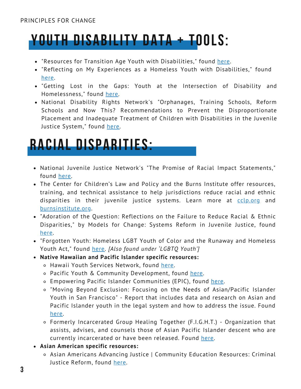### **YOUTH DISABILITY DATA + TOOLS:**

- . "[Resources for Transition Age Youth with Disabilities," found](https://docs.google.com/document/d/1SuebpDbfhyYPrDkVcHiNB7T_jziKMjhc/edit?usp=sharing&ouid=104409252020918668872&rtpof=true&sd=true) [here](https://www.cdss.ca.gov/inforesources/foster-care/resources-for-transition-age-youth-with-disabilities)[.](https://docs.google.com/document/d/1SuebpDbfhyYPrDkVcHiNB7T_jziKMjhc/edit?usp=sharing&ouid=104409252020918668872&rtpof=true&sd=true)
- "[Reflecting on My Experiences as a Homeless Youth with Disabilities," found](https://files.eric.ed.gov/fulltext/ED436046.pdf) [here](https://disabilityvisibilityproject.com/2021/11/14/reflecting-on-my-experiences-as-a-homeless-youth-with-disabilities/)[.](https://files.eric.ed.gov/fulltext/ED436046.pdf)
- ["Getting Lost in the Gaps: Youth at the Intersection of Disability and](https://conference.caeh.ca/wp-content/uploads/COH10_The-invisibility-of-disability-for-homeless-youth_Steph-Baker-Collins.pdf) Homelessness," found [here.](https://conference.caeh.ca/wp-content/uploads/COH10_The-invisibility-of-disability-for-homeless-youth_Steph-Baker-Collins.pdf)
- National Disability Rights Network's "Orphanages, Training Schools, Reform Schools and Now This? Recommendations to Prevent the Disproportionate [Placement and Inadequate Treatment of Children with Disabilities in the Juvenile](http://bit.ly/1QNG1NB) Justice System," found [here](https://www.ndrn.org/images/Documents/Issues/Juvenile_Justice/NDRN_-_Juvenile_Justice_Report.pdf).

#### **RACIAL DISPARITIES:**

- National Juvenile Justice Network's "[The Promise of Racial Impact Statements](https://www.understood.org/articles/en/housing-options-for-young-adults-with-learning-disabilities)," found [here](https://www.njjn.org/our-work/the-promise-of-racial-impact-statements).
- The Center for Children's Law and Policy and the Burns Institute offer resources, training, and technical assistance to help jurisdictions reduce racial and ethnic disparities in their juvenile justice systems. Learn more at colp.org and [burnsinstitute.org.](http://burnsinstitute.org/)
- ["Adoration of the Question: Reflections on the Failure to Reduce Racial & Ethnic](https://www.understood.org/articles/en/housing-options-for-young-adults-with-learning-disabilities) Disparities," by Models for Change: Systems Reform in Juvenile Justice, found [here](https://www.modelsforchange.net/publications/199/).
- ["Forgotten Youth: Homeless LGBT Youth of Color and the Runaway and Homeless](https://scholarlycommons.law.northwestern.edu/cgi/viewcontent.cgi?article=1150&context=njlsp) Youth Act," found [here](https://scholarlycommons.law.northwestern.edu/cgi/viewcontent.cgi?article=1150&context=njlsp). *[\[Also found under 'LGBTQ Youth'\]](https://www.understood.org/articles/en/housing-options-for-young-adults-with-learning-disabilities)*
- **Native Hawaiian and Pacific Islander specific resources:**
	- o [Hawaii Youth Services Network](https://www.hysn.org/), found [here.](https://www.hysn.org/)
	- [Pacific Youth & Community Development](http://www.pycd.net/mission---vision.html), found [here.](http://www.pycd.net/mission---vision.html)
	- [E](https://www.empoweredpi.org/)mpowering Pacific Islander Communities (EPIC), found [here](https://www.empoweredpi.org/).
	- "Moving Beyond Exclusion: Focusing on the Needs of Asian/Pacific Islander [Youth in San Francisco" - Report that includes data and research on Asian and](https://www.evidentchange.org/sites/default/files/publication_pdf/asian-pacificislander-sf.pdf) Pacific Islander youth in the legal system and how to address the issue. Found [here.](https://www.evidentchange.org/sites/default/files/publication_pdf/asian-pacificislander-sf.pdf)
	- Formerly Incarcerated Group Healing Together (F.I.G.H.T.) Organization that [assists, advises, and counsels those of Asian Pacific Islander descent who are](https://www.understood.org/articles/en/housing-options-for-young-adults-with-learning-disabilities) currently incarcerated or have been released. Found [here.](https://fightwa.org/)
- **[Asian American specific resources:](https://www.understood.org/articles/en/housing-options-for-young-adults-with-learning-disabilities)**
	- [Asian Americans Advancing Justice](https://www.advancingjustice-alc.org/news-resources/guides-reports/community-education-resources-criminal-justice-reform) | Community Education Resources: Criminal Justice Reform, found [here.](https://www.advancingjustice-alc.org/news-resources/guides-reports/community-education-resources-criminal-justice-reform)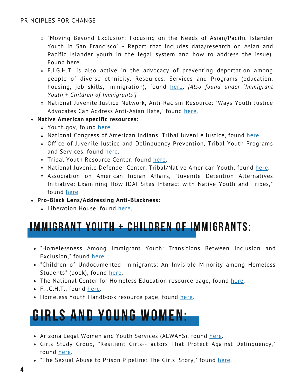- "[Moving Beyond Exclusion: Focusing on the Needs of Asian/Pacific Islander](https://www.evidentchange.org/sites/default/files/publication_pdf/asian-pacificislander-sf.pdf) Youth in San Francisco" - Report that includes data/research on Asian and Pacific Islander youth in the legal system and how to address the issue). Found [here](https://www.evidentchange.org/sites/default/files/publication_pdf/asian-pacificislander-sf.pdf).
- [F.I.G.H.T.](https://fightwa.org/) [is also active in the advocacy of prevent](https://www.understood.org/articles/en/housing-options-for-young-adults-with-learning-disabilities)ing deportation among [people of diverse ethnicity. Resources: Services and Programs \(education,](https://www.understood.org/articles/en/housing-options-for-young-adults-with-learning-disabilities) [housing, job skills, immigration\), found](https://www.understood.org/articles/en/housing-options-for-young-adults-with-learning-disabilities) [here](http://fightwa.org/resources/)[.](https://www.understood.org/articles/en/housing-options-for-young-adults-with-learning-disabilities) *[Also found under 'Immigrant Youth + Children of Immigrants']*
- [National Juvenile Justice Network, Anti-Racism Resource: "Ways Youth Justice](https://www.njjn.org/article/anti-racism-resource-protecting-the-asian-american-community) Advocates Can Address Anti-Asian Hate," found [here](https://www.njjn.org/article/anti-racism-resource-protecting-the-asian-american-community).
- **Native American specific resources:**
	- Youth.gov, found [here.](https://youth.gov/youth-topics/american-indian-alaska-native-youth/juvenile-justice)
	- o National Congress of American Indians, [Tribal Juvenile Justice](https://www.ncai.org/policy-issues/tribal-governance/public-safety-and-justice/tribal-juvenile-justice), found [here.](https://www.ncai.org/policy-issues/tribal-governance/public-safety-and-justice/tribal-juvenile-justice)
	- [Office of Juvenile Justice and Delinquency Prevention, Tribal Youth Programs](https://ojjdp.ojp.gov/programs/tribal-youth-programs-and-services) and Services, found [here.](https://ojjdp.ojp.gov/programs/tribal-youth-programs-and-services)
	- o [Tribal Youth Resource Center](https://www.tribalyouthprogram.org/), found [here](https://www.tribalyouth.org/).
	- o National Juvenile Defender Center, [Tribal/Native American Youth](https://njdc.info/tribalnative-american-youth/), found [here.](https://njdc.info/tribalnative-american-youth/)
	- [Association on American Indian Affairs, "Juvenile Detention Alternatives](https://www.indian-affairs.org/juvenile-justice.html) Initiative: Examining How JDAI Sites Interact with Native Youth and Tribes," found [here](https://www.indian-affairs.org/juvenile-justice.html).
- **Pro-Black Lens/Addressing Anti-Blackness:**
	- o [Liberation House,](https://www.liberationhouse.org/) found [here](https://www.liberationhouse.org/).

#### **IMMIGRANT YOUTH + CHILDREN OF IMMIGRANTS:**

- ["Homelessness Among Immigrant Youth: Transitions Between Inclusion and](https://www.understood.org/articles/en/housing-options-for-young-adults-with-learning-disabilities) Exclusion," found [here.](https://www.feantsaresearch.org/download/article-3-61299829772282130320.pdf)
- ["Children of Undocumented Immigrants: An Invisible Minority among Homeless](https://www.understood.org/articles/en/housing-options-for-young-adults-with-learning-disabilities) Students" (book), found [here.](https://www.taylorfrancis.com/chapters/edit/10.4324/9780203900154-27/children-undocumented-immigrants-ana-huerta-mac%C3%ADas-mar%C3%ADa-luisa-gonz%C3%A1lez-linda-holman)
- [The National](https://www.understood.org/articles/en/housing-options-for-young-adults-with-learning-disabilities) Center for Homeless Education resource page, found [here](https://nche.ed.gov/immigrants-and-refugees/).
- [F.I.G.H.T.](https://www.understood.org/articles/en/housing-options-for-young-adults-with-learning-disabilities), found [here.](http://fightwa.org/resources/)
- Homeless Youth Handbook resource page, found [here.](https://www.homelessyouth.org/en/us/new-york/immigration-and-undocumented-youth)

#### **G I R L S A N D Y O U N G W O M E N :**

- [Arizona Legal Women and Youth Services \(ALWAYS\), found here.](https://alwaysaz.org/)
- [Girls Study Group, "Resilient Girls--Factors That Protect Against Delinquency](https://www.understood.org/articles/en/housing-options-for-young-adults-with-learning-disabilities)," found [here](https://www.ojp.gov/pdffiles1/ojjdp/220124.pdf).
- "[The Sexual Abuse to Prison Pipeline: The Girls' Story,](http://rights4girls.org/wp-content/uploads/r4g/2015/02/2015_COP_sexual-abuse_report_final.pdf)" found [here.](https://rights4girls.org/wp-content/uploads/r4g/2015/02/2015_COP_sexual-abuse_report_final.pdf)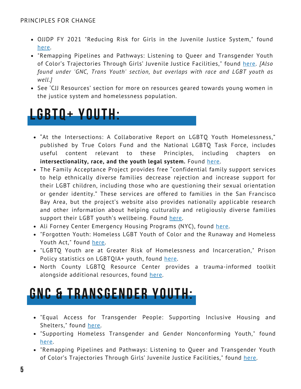- [OJJDP FY 2021 "Reducing Risk for Girls in the Juvenile Justice System](https://www.understood.org/articles/en/housing-options-for-young-adults-with-learning-disabilities)," found [here.](https://ojjdp.ojp.gov/funding/fy2021/O-OJJDP-2021-47008)
- ["Remapping Pipelines and Pathways: Listening to Queer and Transgender Youth](https://www.understood.org/articles/en/housing-options-for-young-adults-with-learning-disabilities) of Color's Trajectories Through Girls' Juvenile Justice Facilities," found [here](https://journals.sagepub.com/doi/full/10.1177/0886109919880517)[.](https://www.understood.org/articles/en/housing-options-for-young-adults-with-learning-disabilities) *[Also found under 'GNC, Trans Youth' section, but overlaps with race and LGBT youth as well.]*
- [See 'CJJ Resources' section for more on resources geared towards young women in](https://www.understood.org/articles/en/housing-options-for-young-adults-with-learning-disabilities) the justice system and homelessness population.

#### **L G B T Q + Y O U T H :**

- "At the Intersections: A Collaborative Report on LGBTQ Youth Homelessness," [published by True Colors Fund and the National LGBTQ Task Force, includes](https://www.understood.org/articles/en/housing-options-for-young-adults-with-learning-disabilities) useful content relevant to these Principles, including chapters on **[intersectionality, race, and the youth legal system.](https://www.understood.org/articles/en/housing-options-for-young-adults-with-learning-disabilities)** Found [here](https://truecolorsunited.org/wp-content/uploads/2019/04/2019-At-the-Intersections-True-Colors-United.pdf).
- [The Family Acceptance Project provides free "confidential family support services](https://www.understood.org/articles/en/housing-options-for-young-adults-with-learning-disabilities) to help ethnically diverse families decrease rejection and increase support for their LGBT children, including those who are questioning their sexual orientation or gender identity." These services are offered to families in the San Francisco Bay Area, but the project's website also provides nationally applicable research [and other information about helping culturally and religiously diverse families](https://www.understood.org/articles/en/housing-options-for-young-adults-with-learning-disabilities) support their LGBT youth's wellbeing. Found [here](https://familyproject.sfsu.edu/).
- [Ali Forney Center Emergency Housing Programs \(NYC\), found](https://www.understood.org/articles/en/housing-options-for-young-adults-with-learning-disabilities) [here](https://www.aliforneycenter.org/housing-services)[.](https://www.understood.org/articles/en/housing-options-for-young-adults-with-learning-disabilities)
- ["Forgotten Youth: Homeless LGBT Youth of Color and the Runaway and Homeless](https://www.understood.org/articles/en/housing-options-for-young-adults-with-learning-disabilities) Youth Act," found [here](https://scholarlycommons.law.northwestern.edu/cgi/viewcontent.cgi?article=1150&context=njlsp)[.](https://www.understood.org/articles/en/housing-options-for-young-adults-with-learning-disabilities)
- "[LGBTQ Youth are at Greater Risk of Homelessness and Incarceration,](https://www.prisonpolicy.org/blog/2019/01/22/lgbtq_youth/)" Prison Policy statistics on LGBTQIA+ youth, found [here](https://www.prisonpolicy.org/blog/2019/01/22/lgbtq_youth/).
- [North County LGBTQ Resource Center](https://www.ncresourcecenter.org/homelessness) provides a trauma-informed toolkit alongside additional resources, found [here](https://www.ncresourcecenter.org/homelessness).

#### **GNC & TRANSGENDER YOUTH:**

- ["Equal Access for Transgender People: Supporting Inclusive Housing and](https://alwaysaz.org/) Shelters," found [here](https://transequality.org/sites/default/files/docs/resources/Equal-Access-for-Transgender-People-Supporting-Inclusive-Housing-and-Shelters.pdf)[.](https://alwaysaz.org/)
- "[Supporting Homeless Transgender and Gender Nonconforming Youth," found](https://alwaysaz.org/) [here](https://endhomelessness.org/resource/supporting-homeless-transgender-and-and-gender-nonconforming-youth/)[.](https://alwaysaz.org/)
- ["Remapping Pipelines and Pathways: Listening to Queer and Transgender Youth](https://www.understood.org/articles/en/housing-options-for-young-adults-with-learning-disabilities) of Color's Trajectories Through Girls' Juvenile Justice Facilities," found here[.](https://www.understood.org/articles/en/housing-options-for-young-adults-with-learning-disabilities)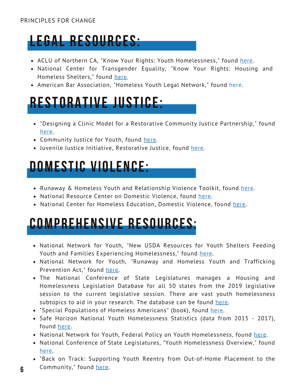#### PRINCIPLES FOR CHANGE



- [ACLU of Northern CA, "Know Your Rights: Youth Homelessness](https://alwaysaz.org/)," found [here](https://www.aclunc.org/our-work/know-your-rights/know-your-rights-youth-homelessness).
- [National Center for Transgender Equality, "Know Your Rights: Housing and](https://alwaysaz.org/) Homeless Shelters," found [here](https://transequality.org/know-your-rights/housing-and-homeless-shelters).
- [American Bar Association, "Homeless Youth Legal Network," found](https://alwaysaz.org/) [here](https://www.americanbar.org/groups/public_interest/homelessness_poverty/initiatives/hyln/)[.](https://alwaysaz.org/)

#### **R E S T O R A T I V E J U S T I C E :**

- "[Designing a Clinic Model for a Restorative Community Justice Partnership,](https://www.understood.org/articles/en/housing-options-for-young-adults-with-learning-disabilities)" found [here](https://openscholarship.wustl.edu/cgi/viewcontent.cgi?article=1880&context=law_journal_law_policy).
- Community Justice for Youth, found [here](http://www.cjyi.org/restorative-justice/).
- Juvenile Justice Initiative, Restorative Justice, found [here](https://jjustice.org/resources/restorative-justice/).

#### **D O M E S T I C V I O L E N C E :**

- [Runaway & Homeless Youth and Relationship Violence Toolkit,](https://www.nrcdv.org/rhydvtoolkit/) found [here](https://www.nrcdv.org/rhydvtoolkit/).
- [National Resource Center on Domestic Violence](https://alwaysaz.org/), found [here](https://www.nrcdv.org/).
- National Center for Homeless Education, [Domestic Violence](https://nche.ed.gov/domestic-violence/), found [here.](https://nche.ed.gov/domestic-violence/)

#### **COMPREHENSIVE RESOURCES:**

- [National Network for Youth, "New USDA Resources for Youth Shelters Feeding](https://www.nrcdv.org/rhydvtoolkit/) Youth and Families Experiencing Homelessness," found [here](https://nn4youth.org/2021/07/08/new-usda-resources-for-shelters-feeding-youth-and-families-experiencing-homelessness/?eType=EmailBlastContent&eId=86e01a8d-c596-4371-a1bc-c69f5920e997).
- [National Network for Youth, "Runaway and Homeless Youth and Trafficking](https://www.nrcdv.org/rhydvtoolkit/) Prevention Act," found [here](https://nn4youth.org/policy/federal-policy-on-youth-homelessness/rhytpa/?eType=EmailBlastContent&eId=86e01a8d-c596-4371-a1bc-c69f5920e997).
- [The N](https://www.nrcdv.org/rhydvtoolkit/)ational Conference of State Legislatures manages a Housing and [Homelessness Legislation Database for all 50 states from the 2019 legislative](https://www.nrcdv.org/rhydvtoolkit/) session to the current legislative session. There are vast youth homelessness subtopics to aid in your research. The database can be found [here.](https://www.ncsl.org/research/human-services/housing-and-homelessness-legislation.aspx)
- "[Special Populations of Homeless Americans](https://www.nrcdv.org/rhydvtoolkit/)" (book), found [here](https://books.google.com/books?hl=en&lr=&id=-ldHAAAAMAAJ&oi=fnd&pg=SA2-PA1&dq=homeless+immigrant+youth+in+america&ots=gHA_rJtxx5&sig=PV1dHPIKhePUiN9fkQ1cSB1h5QU#v=onepage&q&f=false).
- [Safe Horizon National Youth Homelessness Statistics \(data from 2015 2017\)](https://www.nrcdv.org/rhydvtoolkit/), found [here.](https://www.safehorizon.org/get-informed/homeless-youth-statistics-facts/#statistics-and-facts/)
- National Network for Youth, [Federal Policy on Youth Homelessness](https://www.nrcdv.org/rhydvtoolkit/), found [here.](https://nn4youth.org/policy/federal-policy-on-youth-homelessness/?eType=EmailBlastContent&eId=8158d348-4e80-4b4b-89b2-31d8641fce38&eType=EmailBlastContent&eId=8158d348-4e80-4b4b-89b2-31d8641fce38)
- National Conference of State Legislatures, "[Youth Homelessness Overview](https://www.nrcdv.org/rhydvtoolkit/)," found [here](https://www.ncsl.org/research/human-services/homeless-and-runaway-youth.aspx).
- ["Back on Track: Supporting Youth Reentry from Out-of-Home Placement to the](https://www.njjn.org/uploads/digital-library/resource_1397.pdf) Community," found [here.](https://www.njjn.org/uploads/digital-library/resource_1397.pdf)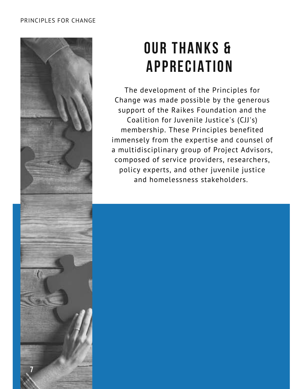#### PRINCIPLES FOR CHANGE



## **OUR THANKS & A P P R E C I A T I O N**

The development of the Principles for Change was made possible by the generous support of the Raikes Foundation and the Coalition for Juvenile Justice's (CJJ's) membership. These Principles benefited immensely from the expertise and counsel of a multidisciplinary group of Project Advisors, composed of service providers, researchers, policy experts, and other juvenile justice and homelessness stakeholders.